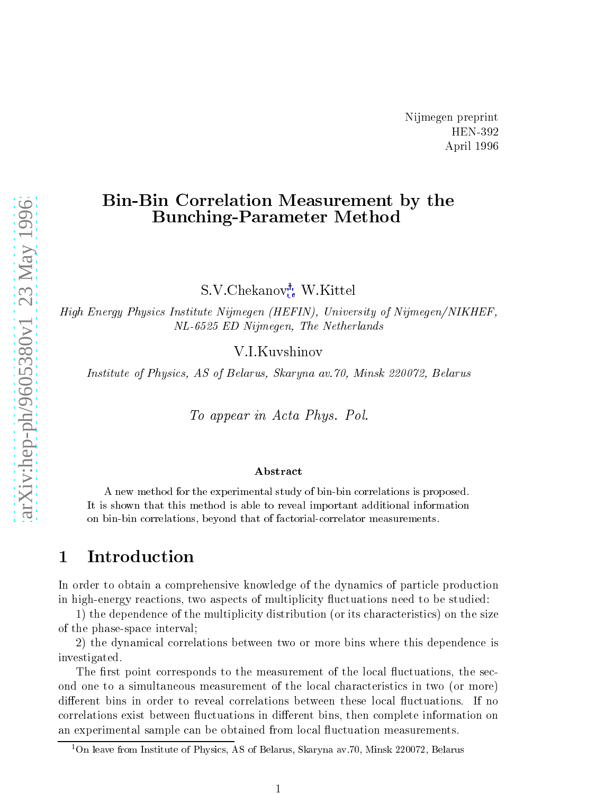# **Bin-Bin Correlation Measurement by the Bunching-Parameter Method**

S.V.Chekanov<sup>1</sup>, W.Kittel

High Energy Physics Institute Nijmegen (HEFIN), University of Nijmegen/NIKHEF, NL-6525 ED Nijmegen, The Netherlands

V.I. Kuvshinov

Institute of Physics, AS of Belarus, Skaryna av. 70, Minsk 220072, Belarus

To appear in Acta Phys. Pol.

### Abstract

A new method for the experimental study of bin-bin correlations is proposed. It is shown that this method is able to reveal important additional information on bin-bin correlations, beyond that of factorial-correlator measurements.

#### Introduction  $\mathbf 1$

In order to obtain a comprehensive knowledge of the dynamics of particle production in high-energy reactions, two aspects of multiplicity fluctuations need to be studied:

1) the dependence of the multiplicity distribution (or its characteristics) on the size of the phase-space interval;

2) the dynamical correlations between two or more bins where this dependence is investigated.

The first point corresponds to the measurement of the local fluctuations, the second one to a simultaneous measurement of the local characteristics in two (or more) different bins in order to reveal correlations between these local fluctuations. If no correlations exist between fluctuations in different bins, then complete information on an experimental sample can be obtained from local fluctuation measurements.

<sup>&</sup>lt;sup>1</sup>On leave from Institute of Physics, AS of Belarus, Skaryna av. 70, Minsk 220072, Belarus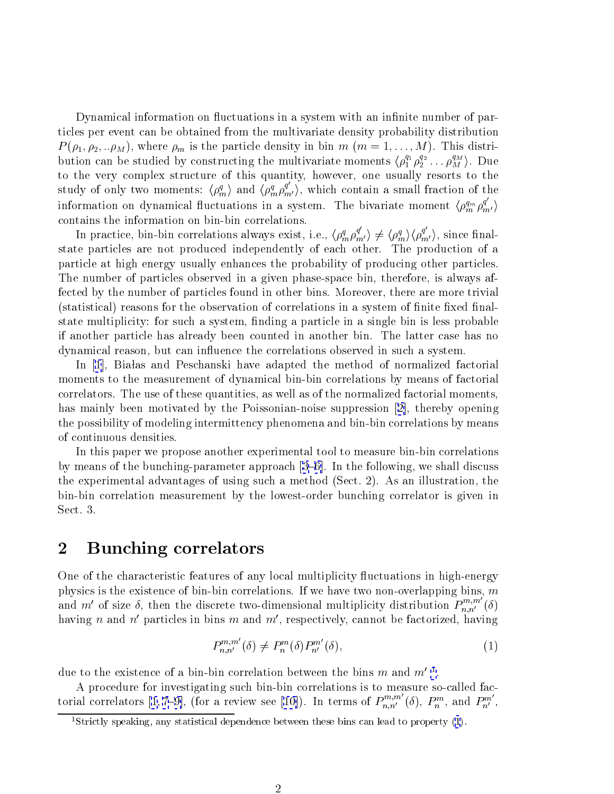Dynamical information on fluctuations in a system with an infinite number of particles per event can be obtained from the multivariate density probability distribution  $P(\rho_1, \rho_2, ... \rho_M)$ , where  $\rho_m$  is the particle density in bin  $m$   $(m = 1, ..., M)$ . This distribution can be studied by constructing the multivariate moments  $\langle \rho_1^{q_1} \rho_2^{q_2} \dots \rho_M^{q_M} \rangle$ . Due to the very complex structure of this quantity, however, one usually resorts to the study of only two moments:  $\langle \rho_m^q \rangle$  and  $\langle \rho_m^q \rho_{m'}^{q'} \rangle$ , which contain a small fraction of the information on dynamical fluctuations in a system. The bivariate moment  $\langle \rho_m^{q_m} \rho_{m'}^{q'} \rangle$ contains the information on bin-bin correlations.

In practice, bin-bin correlations always exist, i.e.,  $\langle \rho_m^q \rho_{m'}^{q'} \rangle \neq \langle \rho_m^q \rangle \langle \rho_{m'}^{q'} \rangle$ , since finalstate particles are not produced independently of each other. The production of a particle at high energy usually enhances the probability of producing other particles. The number of particles observed in a given phase-space bin, therefore, is always affected by the number of particles found in other bins. Moreover, there are more trivial (statistical) reasons for the observation of correlations in a system of finite fixed finalstate multiplicity: for such a system, finding a particle in a single bin is less probable if another particle has already been counted in another bin. The latter case has no dynamical reason, but can influence the correlations observed in such a system.

In [1], Białas and Peschanski have adapted the method of normalized factorial moments to the measurement of dynamical bin-bin correlations by means of factorial correlators. The use of these quantities, as well as of the normalized factorial moments, has mainly been motivated by the Poissonian-noise suppression [2], thereby opening the possibility of modeling intermittency phenomena and bin-bin correlations by means of continuous densities.

In this paper we propose another experimental tool to measure bin-bin correlations by means of the bunching-parameter approach  $[3-6]$ . In the following, we shall discuss the experimental advantages of using such a method (Sect. 2). As an illustration, the bin-bin correlation measurement by the lowest-order bunching correlator is given in Sect. 3.

### $\overline{2}$ **Bunching correlators**

One of the characteristic features of any local multiplicity fluctuations in high-energy physics is the existence of bin-bin correlations. If we have two non-overlapping bins,  $m$ and  $m'$  of size  $\delta$ , then the discrete two-dimensional multiplicity distribution  $P_{n,n'}^{m,m'}(\delta)$  having *n* and *n'* particles in bins *m* and *m'*, respectively, cannot be factorized, having

$$
P_{n,n'}^{m,m'}(\delta) \neq P_n^m(\delta)P_{n'}^{m'}(\delta),\tag{1}
$$

due to the existence of a bin-bin correlation between the bins m and  $m'$ <sup>1</sup>.

A procedure for investigating such bin-bin correlations is to measure so-called factorial correlators [1,7-9], (for a review see [10]). In terms of  $P_{n,n'}^{m,m'}(\delta)$ ,  $P_n^m$ , and  $P_{n'}^{m'}$ ,

<sup>&</sup>lt;sup>1</sup>Strictly speaking, any statistical dependence between these bins can lead to property  $(1)$ .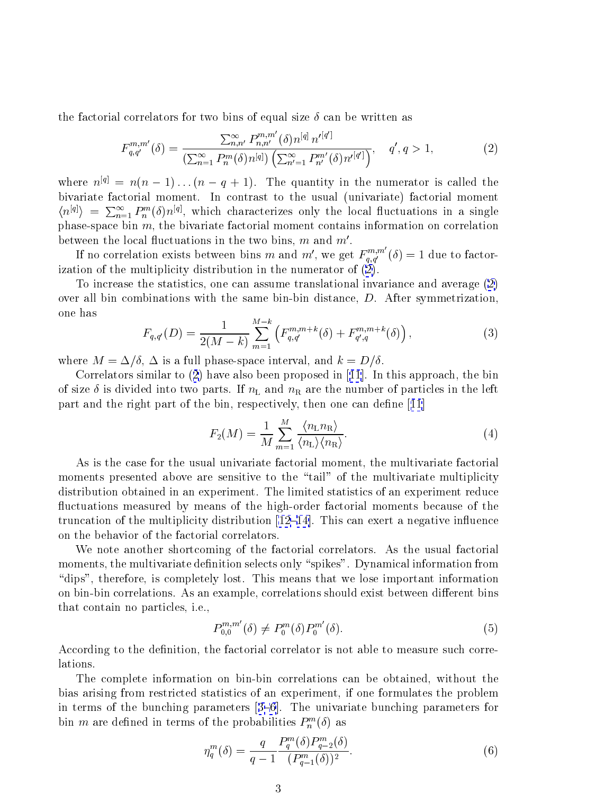<span id="page-2-0"></span>the factorial correlators for two bins of equal size  $\delta$  can be written as

$$
F_{q,q'}^{m,m'}(\delta) = \frac{\sum_{n,n'}^{\infty} P_{n,n'}^{m,m'}(\delta) n^{[q]} n'^{[q']}}{\left(\sum_{n=1}^{\infty} P_n^m(\delta) n^{[q]}\right) \left(\sum_{n'=1}^{\infty} P_{n'}^{m'}(\delta) n'^{[q']} \right)}, \quad q', q > 1,
$$
\n(2)

where  $n^{[q]} = n(n-1)...(n-q+1)$ . The quantity in the numerator is called the bivariate factorial moment. In contrast to the usual (univariate) factorial moment  $\langle n^{[q]} \rangle = \sum_{n=1}^{\infty} P_n^m(\delta) n^{[q]}$ , which characterizes only the local fluctuations in a single phase-space bin  $m$ , the bivariate factorial moment contains information on correlation between the local fluctuations in the two bins, m and  $m'$ .

If no correlation exists between bins m and m', we get  $F_{q,q'}^{m,m'}(\delta) = 1$  due to factorization of the multiplicity distribution in the numerator of (2).

To increase the statistics, one can assume translational invariance and average (2) over all bin combinations with the same bin-bin distance,  $D$ . After symmetrization, one has  $\overline{11}$ 

$$
F_{q,q'}(D) = \frac{1}{2(M-k)} \sum_{m=1}^{M-k} \left( F_{q,q'}^{m,m+k}(\delta) + F_{q',q}^{m,m+k}(\delta) \right), \qquad (3)
$$

where  $M = \Delta/\delta$ ,  $\Delta$  is a full phase-space interval, and  $k = D/\delta$ .

Correlators similar to  $(2)$  have also been proposed in [11]. In this approach, the bin of size  $\delta$  is divided into two parts. If  $n_{\rm L}$  and  $n_{\rm R}$  are the number of particles in the left part and the right part of the bin, respectively, then one can define  $|11|$ 

$$
F_2(M) = \frac{1}{M} \sum_{m=1}^{M} \frac{\langle n_{\rm L} n_{\rm R} \rangle}{\langle n_{\rm L} \rangle \langle n_{\rm R} \rangle}.
$$
 (4)

As is the case for the usual univariate factorial moment, the multivariate factorial moments presented above are sensitive to the "tail" of the multivariate multiplicity distribution obtained in an experiment. The limited statistics of an experiment reduce fluctuations measured by means of the high-order factorial moments because of the truncation of the multiplicity distribution  $[12-14]$ . This can exert a negative influence on the behavior of the factorial correlators.

We note another shortcoming of the factorial correlators. As the usual factorial moments, the multivariate definition selects only "spikes". Dynamical information from "dips", therefore, is completely lost. This means that we lose important information on bin-bin correlations. As an example, correlations should exist between different bins that contain no particles, i.e.,

$$
P_{0,0}^{m,m'}(\delta) \neq P_0^m(\delta)P_0^{m'}(\delta).
$$
\n(5)

According to the definition, the factorial correlator is not able to measure such correlations.

The complete information on bin-bin correlations can be obtained, without the bias arising from restricted statistics of an experiment, if one formulates the problem in terms of the bunching parameters  $[3-6]$ . The univariate bunching parameters for bin m are defined in terms of the probabilities  $P_n^m(\delta)$  as

$$
\eta_q^m(\delta) = \frac{q}{q-1} \frac{P_q^m(\delta) P_{q-2}^m(\delta)}{(P_{q-1}^m(\delta))^2}.
$$
\n(6)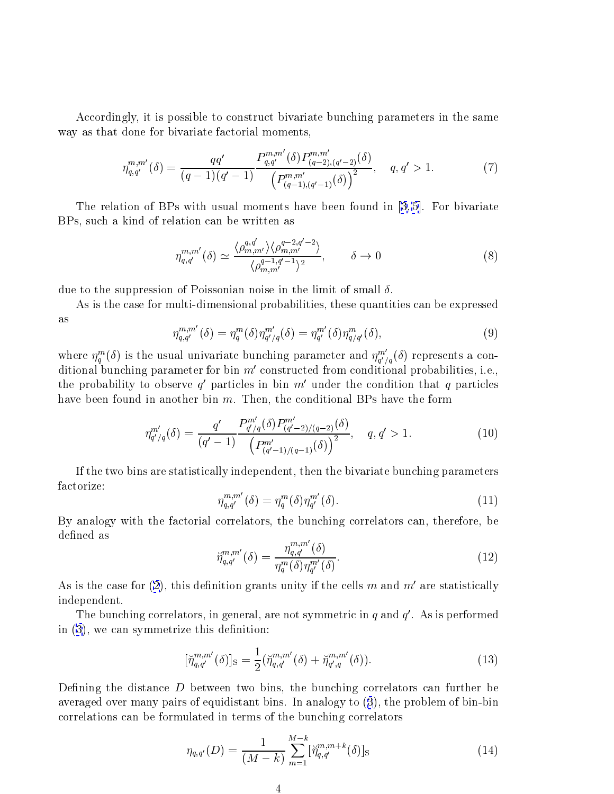Accordingly, it is possible to construct bivariate bunching parameters in the same way as that done for bivariate factorial moments,

$$
\eta_{q,q'}^{m,m'}(\delta) = \frac{qq'}{(q-1)(q'-1)} \frac{P_{q,q'}^{m,m'}(\delta) P_{(q-2),(q'-2)}^{m,m'}(\delta)}{\left(P_{(q-1),(q'-1)}^{m,m'}(\delta)\right)^2}, \quad q, q' > 1. \tag{7}
$$

The relation of BPs with usual moments have been found in  $[3,5]$ . For bivariate BPs, such a kind of relation can be written as

$$
\eta_{q,q'}^{m,m'}(\delta) \simeq \frac{\langle \rho_{m,m'}^{q,q'} \rangle \langle \rho_{m,m'}^{q-2,q'-2} \rangle}{\langle \rho_{m,m'}^{q-1,q'-1} \rangle^2}, \qquad \delta \to 0
$$
\n(8)

due to the suppression of Poissonian noise in the limit of small  $\delta$ .

As is the case for multi-dimensional probabilities, these quantities can be expressed as

$$
\eta_{q,q'}^{m,m'}(\delta) = \eta_q^m(\delta) \eta_{q'/q}^{m'}(\delta) = \eta_{q'}^{m'}(\delta) \eta_{q/q'}^m(\delta),\tag{9}
$$

where  $\eta_q^m(\delta)$  is the usual univariate bunching parameter and  $\eta_{q'/q}^{m'}(\delta)$  represents a conditional bunching parameter for bin m' constructed from conditional probabilities, i.e., the probability to observe q' particles in bin  $m'$  under the condition that q particles have been found in another bin  $m$ . Then, the conditional BPs have the form

$$
\eta_{q'/q}^{m'}(\delta) = \frac{q'}{(q'-1)} \frac{P_{q'/q}^{m'}(\delta) P_{(q'-2)/(q-2)}^{m'}(\delta)}{\left(P_{(q'-1)/(q-1)}^{m'}(\delta)\right)^2}, \quad q, q' > 1.
$$
\n(10)

If the two bins are statistically independent, then the bivariate bunching parameters factorize:

$$
\eta_{q,q'}^{m,m'}(\delta) = \eta_q^m(\delta) \eta_{q'}^{m'}(\delta). \tag{11}
$$

By analogy with the factorial correlators, the bunching correlators can, therefore, be defined as

$$
\tilde{\eta}_{q,q'}^{m,m'}(\delta) = \frac{\eta_{q,q'}^{m,m'}(\delta)}{\eta_q^m(\delta)\eta_{q'}^{m'}(\delta)}.
$$
\n(12)

As is the case for (2), this definition grants unity if the cells m and  $m'$  are statistically independent.

The bunching correlators, in general, are not symmetric in q and  $q'$ . As is performed in  $(3)$ , we can symmetrize this definition:

$$
[\check{\eta}_{q,q'}^{m,m'}(\delta)]_{\rm S} = \frac{1}{2} (\check{\eta}_{q,q'}^{m,m'}(\delta) + \check{\eta}_{q',q}^{m,m'}(\delta)). \tag{13}
$$

Defining the distance  $D$  between two bins, the bunching correlators can further be averaged over many pairs of equidistant bins. In analogy to  $(3)$ , the problem of bin-bin correlations can be formulated in terms of the bunching correlators

$$
\eta_{q,q'}(D) = \frac{1}{(M-k)} \sum_{m=1}^{M-k} [\check{\eta}_{q,q'}^{m,m+k}(\delta)]_{\text{S}}
$$
(14)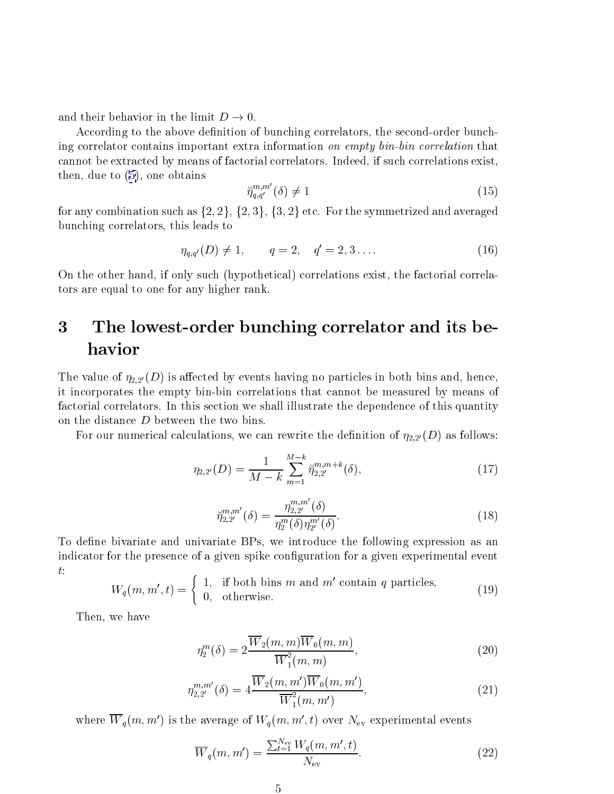<span id="page-4-0"></span>and their behavior in the limit  $D \to 0$ .

According to the above definition of bunching correlators, the second-order bunching correlator contains important extra information on empty bin-bin correlation that cannot be extracted by means of factorial correlators. Indeed, if such correlations exist, then, due to  $(5)$ , one obtains

$$
\check{\eta}_{q,q'}^{m,m'}(\delta) \neq 1\tag{15}
$$

for any combination such as  $\{2, 2\}, \{2, 3\}, \{3, 2\}$  etc. For the symmetrized and averaged bunching correlators, this leads to

$$
\eta_{q,q'}(D) \neq 1, \qquad q = 2, \quad q' = 2, 3 \dots \tag{16}
$$

On the other hand, if only such (hypothetical) correlations exist, the factorial correlators are equal to one for any higher rank.

## 3 The lowest-order bunching correlator and its behavior

The value of  $\eta_{2,2'}(D)$  is affected by events having no particles in both bins and, hence, it incorporates the empty bin-bin correlations that cannot be measured by means of factorial correlators. In this section we shall illustrate the dependence of this quantity on the distance  $D$  between the two bins.

For our numerical calculations, we can rewrite the definition of  $\eta_{2,2'}(D)$  as follows:

$$
\eta_{2,2'}(D) = \frac{1}{M-k} \sum_{m=1}^{M-k} \breve{\eta}_{2,2'}^{m,m+k}(\delta),\tag{17}
$$

$$
\tilde{\eta}_{2,2'}^{m,m'}(\delta) = \frac{\eta_{2,2'}^{m,m'}(\delta)}{\eta_2^m(\delta)\eta_{2'}^{m'}(\delta)}.
$$
\n(18)

To define bivariate and univariate BPs, we introduce the following expression as an indicator for the presence of a given spike configuration for a given experimental event  $t$ :

$$
W_q(m, m', t) = \begin{cases} 1, & \text{if both bins } m \text{ and } m' \text{ contain } q \text{ particles,} \\ 0, & \text{otherwise.} \end{cases} \tag{19}
$$

Then, we have

$$
\eta_2^m(\delta) = 2 \frac{\overline{W}_2(m, m)\overline{W}_0(m, m)}{\overline{W}_1^2(m, m)},\tag{20}
$$

$$
\eta_{2,2'}^{m,m'}(\delta) = 4 \frac{\overline{W}_2(m,m') \overline{W}_0(m,m')}{\overline{W}_1^2(m,m')},\tag{21}
$$

where  $\overline{W}_q(m,m')$  is the average of  $W_q(m,m',t)$  over  $N_{\text{ev}}$  experimental events

$$
\overline{W}_q(m, m') = \frac{\sum_{t=1}^{N_{\rm ev}} W_q(m, m', t)}{N_{\rm ev}}.
$$
\n(22)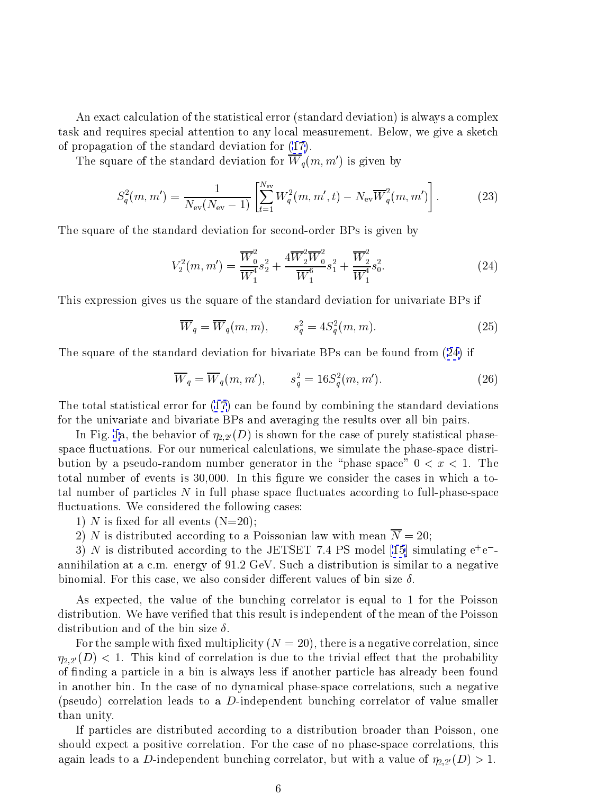An exact calculation of the statistical error (standard deviation) is always a complex task and requires special attention to any local measurement. Below, we give a sketch of propagation of the standard deviation for (17).

The square of the standard deviation for  $\overline{W}_q(m, m')$  is given by

$$
S_q^2(m, m') = \frac{1}{N_{\text{ev}}(N_{\text{ev}} - 1)} \left[ \sum_{t=1}^{N_{\text{ev}}} W_q^2(m, m', t) - N_{\text{ev}} \overline{W}_q^2(m, m') \right]. \tag{23}
$$

The square of the standard deviation for second-order BPs is given by

$$
V_2^2(m, m') = \frac{\overline{W}_0^2}{\overline{W}_1^4} s_2^2 + \frac{4\overline{W}_2^2 \overline{W}_0^2}{\overline{W}_1^6} s_1^2 + \frac{\overline{W}_2^2}{\overline{W}_1^4} s_0^2.
$$
 (24)

This expression gives us the square of the standard deviation for univariate BPs if

$$
\overline{W}_q = \overline{W}_q(m, m), \qquad s_q^2 = 4S_q^2(m, m). \tag{25}
$$

The square of the standard deviation for bivariate BPs can be found from (24) if

$$
\overline{W}_q = \overline{W}_q(m, m'), \qquad s_q^2 = 16S_q^2(m, m'). \tag{26}
$$

The total statistical error for  $(17)$  can be found by combining the standard deviations for the univariate and bivariate BPs and averaging the results over all bin pairs.

In Fig. 1a, the behavior of  $\eta_{2,2'}(D)$  is shown for the case of purely statistical phasespace fluctuations. For our numerical calculations, we simulate the phase-space distribution by a pseudo-random number generator in the "phase space"  $0 < x < 1$ . The total number of events is 30,000. In this figure we consider the cases in which a total number of particles  $N$  in full phase space fluctuates according to full-phase-space fluctuations. We considered the following cases:

1) N is fixed for all events  $(N=20)$ ;

2) N is distributed according to a Poissonian law with mean  $\overline{N} = 20$ :

3) N is distributed according to the JETSET 7.4 PS model [15] simulating  $e^+e^$ annihilation at a c.m. energy of 91.2 GeV. Such a distribution is similar to a negative binomial. For this case, we also consider different values of bin size  $\delta$ .

As expected, the value of the bunching correlator is equal to 1 for the Poisson distribution. We have verified that this result is independent of the mean of the Poisson distribution and of the bin size  $\delta$ .

For the sample with fixed multiplicity  $(N = 20)$ , there is a negative correlation, since  $\eta_{2,2'}(D)$  < 1. This kind of correlation is due to the trivial effect that the probability of finding a particle in a bin is always less if another particle has already been found in another bin. In the case of no dynamical phase-space correlations, such a negative (pseudo) correlation leads to a  $D$ -independent bunching correlator of value smaller than unity.

If particles are distributed according to a distribution broader than Poisson, one should expect a positive correlation. For the case of no phase-space correlations, this again leads to a D-independent bunching correlator, but with a value of  $\eta_{2,2}(D) > 1$ .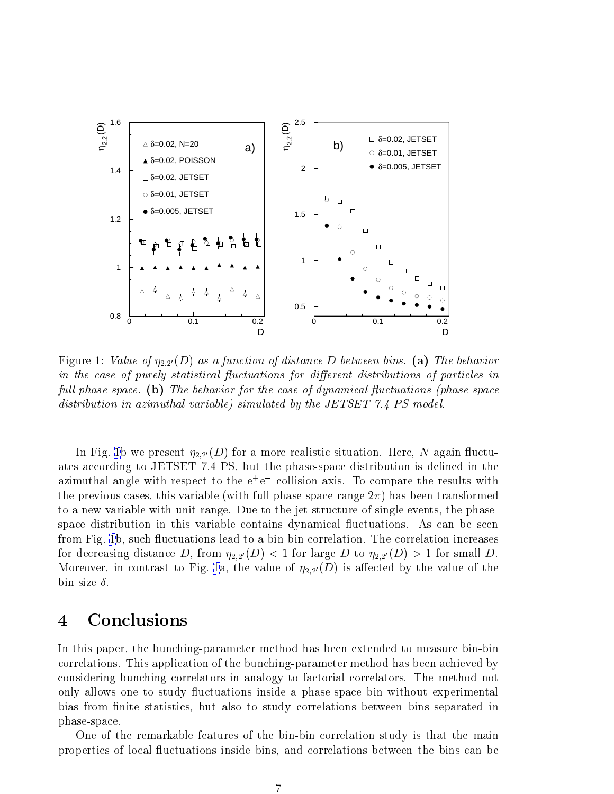<span id="page-6-0"></span>

Figure 1: Value of  $\eta_{2,2}(D)$  as a function of distance D between bins. (a) The behavior in the case of purely statistical fluctuations for different distributions of particles in full phase space. (b) The behavior for the case of dynamical fluctuations (phase-space distribution in azimuthal variable) simulated by the JETSET 7.4 PS model.

In Fig. 1b we present  $\eta_{2,2'}(D)$  for a more realistic situation. Here, N again fluctuates according to JETSET 7.4 PS, but the phase-space distribution is defined in the azimuthal angle with respect to the  $e^+e^-$  collision axis. To compare the results with the previous cases, this variable (with full phase-space range  $2\pi$ ) has been transformed to a new variable with unit range. Due to the jet structure of single events, the phasespace distribution in this variable contains dynamical fluctuations. As can be seen from Fig. 1b, such fluctuations lead to a bin-bin correlation. The correlation increases for decreasing distance D, from  $\eta_{2,2}(D) < 1$  for large D to  $\eta_{2,2}(D) > 1$  for small D. Moreover, in contrast to Fig. 1a, the value of  $\eta_{2,2'}(D)$  is affected by the value of the bin size  $\delta$ .

### Conclusions  $\boldsymbol{4}$

In this paper, the bunching-parameter method has been extended to measure bin-bin correlations. This application of the bunching-parameter method has been achieved by considering bunching correlators in analogy to factorial correlators. The method not only allows one to study fluctuations inside a phase-space bin without experimental bias from finite statistics, but also to study correlations between bins separated in phase-space.

One of the remarkable features of the bin-bin correlation study is that the main properties of local fluctuations inside bins, and correlations between the bins can be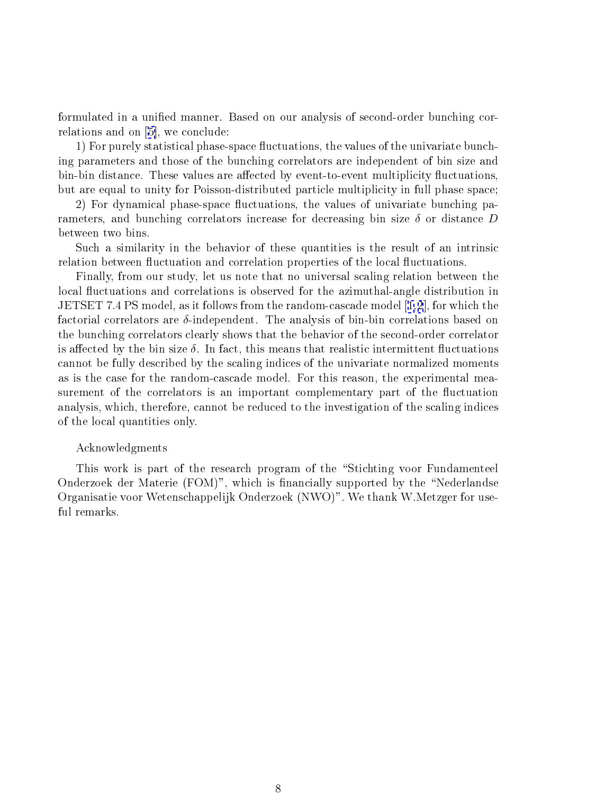formulated in a unified manner. Based on our analysis of second-order bunching correlations and on  $[5]$ , we conclude:

1) For purely statistical phase-space fluctuations, the values of the univariate bunching parameters and those of the bunching correlators are independent of bin size and bin-bin distance. These values are affected by event-to-event multiplicity fluctuations, but are equal to unity for Poisson-distributed particle multiplicity in full phase space:

2) For dynamical phase-space fluctuations, the values of univariate bunching parameters, and bunching correlators increase for decreasing bin size  $\delta$  or distance D between two bins.

Such a similarity in the behavior of these quantities is the result of an intrinsic relation between fluctuation and correlation properties of the local fluctuations.

Finally, from our study, let us note that no universal scaling relation between the local fluctuations and correlations is observed for the azimuthal-angle distribution in JETSET 7.4 PS model, as it follows from the random-cascade model  $[1,2]$ , for which the factorial correlators are  $\delta$ -independent. The analysis of bin-bin correlations based on the bunching correlators clearly shows that the behavior of the second-order correlator is affected by the bin size  $\delta$ . In fact, this means that realistic intermittent fluctuations cannot be fully described by the scaling indices of the univariate normalized moments as is the case for the random-cascade model. For this reason, the experimental measurement of the correlators is an important complementary part of the fluctuation analysis, which, therefore, cannot be reduced to the investigation of the scaling indices of the local quantities only.

## Acknowledgments

This work is part of the research program of the "Stichting voor Fundamenteel" Onderzoek der Materie (FOM)", which is financially supported by the "Nederlandse Organisatie voor Wetenschappelijk Onderzoek (NWO)". We thank W.Metzger for useful remarks.